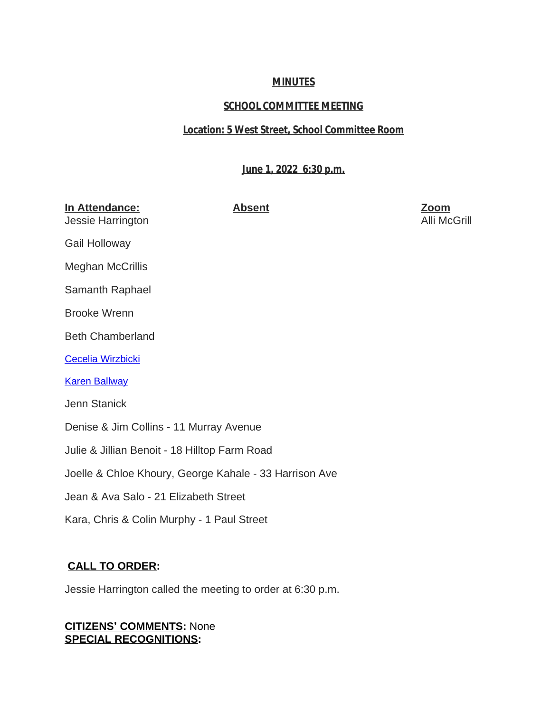## **MINUTES**

# **SCHOOL COMMITTEE MEETING**

## **Location: 5 West Street, School Committee Room**

# **June 1, 2022 6:30 p.m.**

| In Attendance:<br>Jessie Harrington                    | <b>Absent</b> | <b>Zoom</b><br>Alli McGrill |
|--------------------------------------------------------|---------------|-----------------------------|
| Gail Holloway                                          |               |                             |
| <b>Meghan McCrillis</b>                                |               |                             |
| Samanth Raphael                                        |               |                             |
| <b>Brooke Wrenn</b>                                    |               |                             |
| <b>Beth Chamberland</b>                                |               |                             |
| <b>Cecelia Wirzbicki</b>                               |               |                             |
| <b>Karen Ballway</b>                                   |               |                             |
| Jenn Stanick                                           |               |                             |
| Denise & Jim Collins - 11 Murray Avenue                |               |                             |
| Julie & Jillian Benoit - 18 Hilltop Farm Road          |               |                             |
| Joelle & Chloe Khoury, George Kahale - 33 Harrison Ave |               |                             |
| Jean & Ava Salo - 21 Elizabeth Street                  |               |                             |
| Kara, Chris & Colin Murphy - 1 Paul Street             |               |                             |
|                                                        |               |                             |

# **[CALL TO ORDER:](mailto:kballway@auburn.k12.ma.us)**

[Jessie Harrington called the meeting to order at 6:30 p.m.](mailto:kballway@auburn.k12.ma.us)

## **CITIZENS' [COMMENTS:](mailto:kballway@auburn.k12.ma.us)** [None](mailto:kballway@auburn.k12.ma.us) **[SPECIAL RECOGNITIONS:](mailto:kballway@auburn.k12.ma.us)**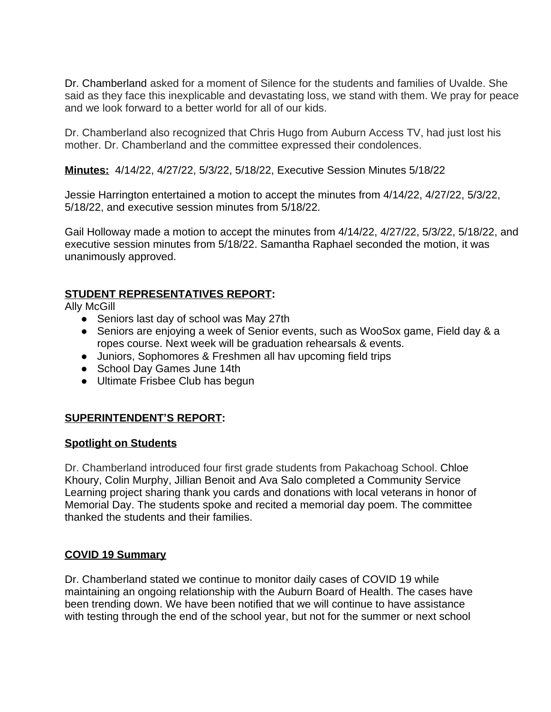Dr. Chamberland asked for a moment of Silence for the students and families of Uvalde. She said as they face this inexplicable and devastating loss, we stand with them. We pray for peace and we look forward to a better world for all of our kids.

Dr. Chamberland also recognized that Chris Hugo from Auburn Access TV, had just lost his mother. Dr. Chamberland and the committee expressed their condolences.

**Minutes:** 4/14/22, 4/27/22, 5/3/22, 5/18/22, Executive Session Minutes 5/18/22

Jessie Harrington entertained a motion to accept the minutes from 4/14/22, 4/27/22, 5/3/22, 5/18/22, and executive session minutes from 5/18/22.

Gail Holloway made a motion to accept the minutes from 4/14/22, 4/27/22, 5/3/22, 5/18/22, and executive session minutes from 5/18/22. Samantha Raphael seconded the motion, it was unanimously approved.

## **STUDENT REPRESENTATIVES REPORT:**

Ally McGill

- Seniors last day of school was May 27th
- Seniors are enjoying a week of Senior events, such as WooSox game, Field day & a ropes course. Next week will be graduation rehearsals & events.
- Juniors, Sophomores & Freshmen all hav upcoming field trips
- School Day Games June 14th
- Ultimate Frisbee Club has begun

# **SUPERINTENDENT'S REPORT:**

## **Spotlight on Students**

Dr. Chamberland introduced four first grade students from Pakachoag School. Chloe Khoury, Colin Murphy, Jillian Benoit and Ava Salo completed a Community Service Learning project sharing thank you cards and donations with local veterans in honor of Memorial Day. The students spoke and recited a memorial day poem. The committee thanked the students and their families.

## **COVID 19 Summary**

Dr. Chamberland stated we continue to monitor daily cases of COVID 19 while maintaining an ongoing relationship with the Auburn Board of Health. The cases have been trending down. We have been notified that we will continue to have assistance with testing through the end of the school year, but not for the summer or next school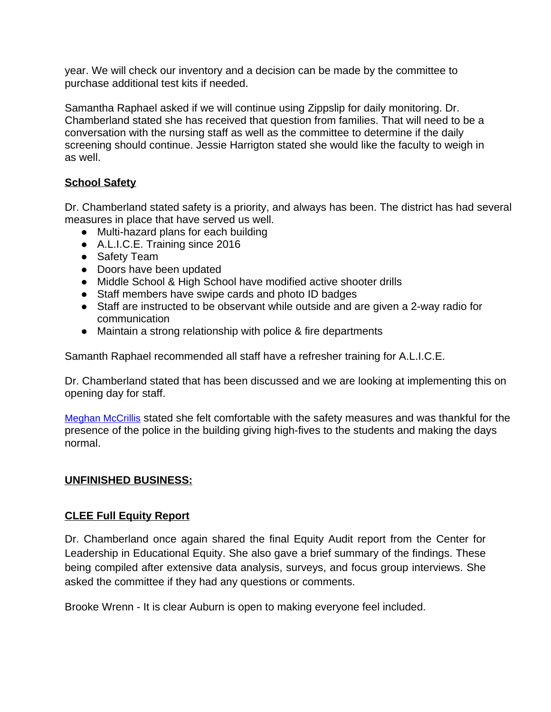year. We will check our inventory and a decision can be made by the committee to purchase additional test kits if needed.

Samantha Raphael asked if we will continue using Zippslip for daily monitoring. Dr. Chamberland stated she has received that question from families. That will need to be a conversation with the nursing staff as well as the committee to determine if the daily screening should continue. Jessie Harrigton stated she would like the faculty to weigh in as well.

# **School Safety**

Dr. Chamberland stated safety is a priority, and always has been. The district has had several measures in place that have served us well.

- Multi-hazard plans for each building
- A.L.I.C.E. Training since 2016
- Safety Team
- Doors have been updated
- Middle School & High School have modified active shooter drills
- Staff members have swipe cards and photo ID badges
- Staff are instructed to be observant while outside and are given a 2-way radio for communication
- Maintain a strong relationship with police & fire departments

Samanth Raphael recommended all staff have a refresher training for A.L.I.C.E.

Dr. Chamberland stated that has been discussed and we are looking at implementing this on opening day for staff.

[Meghan McCrillis](mailto:meghanmccrillis@gmail.com) [stated she felt comfortable with the safety measures and was thankful for the](mailto:meghanmccrillis@gmail.com)  [presence of the police in the building giving high-fives to the students and making the days](mailto:meghanmccrillis@gmail.com)  [normal.](mailto:meghanmccrillis@gmail.com) 

## **[UNFINISHED BUSINESS:](mailto:meghanmccrillis@gmail.com)**

## **[CLEE Full Equity Report](mailto:meghanmccrillis@gmail.com)**

Dr. [Chamberland](mailto:meghanmccrillis@gmail.com) once again shared the final Equity Audit report from the Center for Leadership in [Educational](mailto:meghanmccrillis@gmail.com) Equity. She also gave a brief summary of the findings. These being compiled after extensive data analysis, surveys, and focus group [interviews.](mailto:meghanmccrillis@gmail.com) She [asked the committee if they had any questions or comments.](mailto:meghanmccrillis@gmail.com) 

[Brooke Wrenn - It is clear Auburn is open to making everyone feel included.](mailto:meghanmccrillis@gmail.com)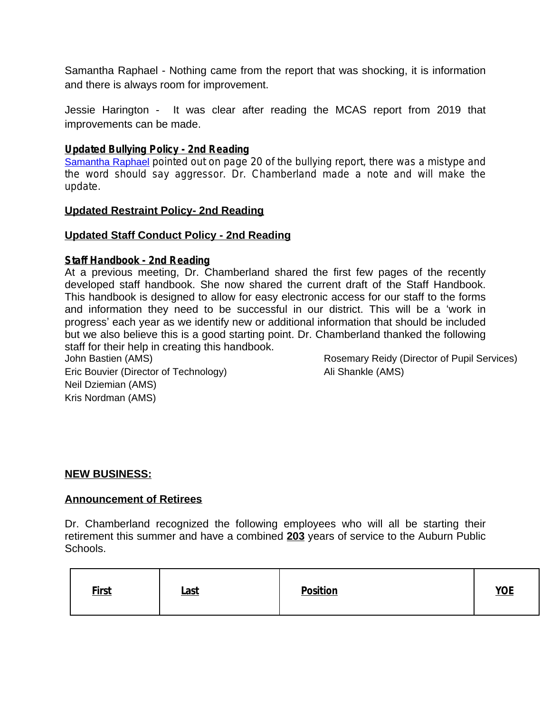Samantha Raphael - Nothing came from the report that was shocking, it is information and there is always room for improvement.

Jessie Harington - It was clear after reading the MCAS report from 2019 that improvements can be made.

### **Updated Bullying Policy - 2nd Reading**

[Samantha Raphael](mailto:samantha.raphael@gmail.com) pointed out on page 20 of the bullying report, there was a mistype and the word should say aggressor. Dr. Chamberland made a note and will make the update.

### **Updated Restraint Policy- 2nd Reading**

### **Updated Staff Conduct Policy - 2nd Reading**

#### **Staff Handbook - 2nd Reading**

At a previous meeting, Dr. Chamberland shared the first few pages of the recently developed staff handbook. She now shared the current draft of the Staff Handbook. This handbook is designed to allow for easy electronic access for our staff to the forms and information they need to be successful in our district. This will be a 'work in progress' each year as we identify new or additional information that should be included but we also believe this is a good starting point. Dr. Chamberland thanked the following staff for their help in creating this handbook.

John Bastien (AMS) Eric Bouvier (Director of Technology) Neil Dziemian (AMS) Kris Nordman (AMS)

Rosemary Reidy (Director of Pupil Services) Ali Shankle (AMS)

#### **NEW BUSINESS:**

#### **Announcement of Retirees**

Dr. Chamberland recognized the following employees who will all be starting their retirement this summer and have a combined **203** years of service to the Auburn Public Schools.

| <b>First</b> | <u>Last</u> | <b>Position</b> | <b>YOE</b> |
|--------------|-------------|-----------------|------------|
|--------------|-------------|-----------------|------------|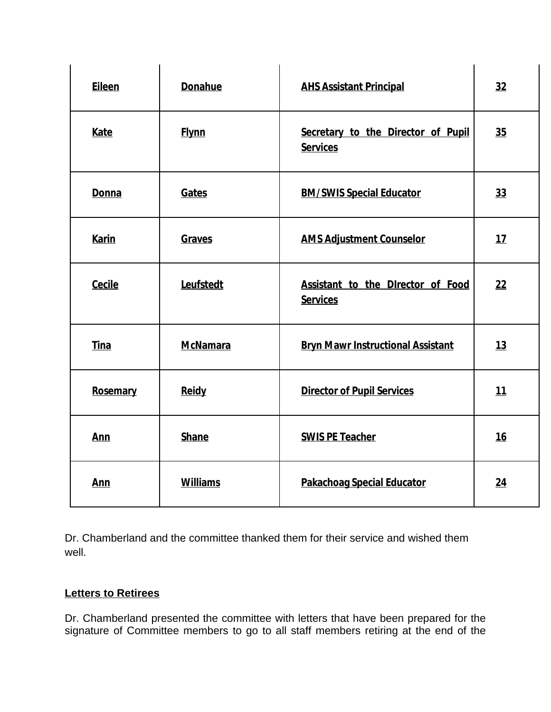| <b>Eileen</b> | <b>Donahue</b>  | <b>AHS Assistant Principal</b>                        | 32        |
|---------------|-----------------|-------------------------------------------------------|-----------|
| Kate          | <b>Flynn</b>    | Secretary to the Director of Pupil<br><b>Services</b> | 35        |
| Donna         | Gates           | <b>BM/SWIS Special Educator</b>                       | 33        |
| <b>Karin</b>  | Graves          | <b>AMS Adjustment Counselor</b>                       | 17        |
| Cecile        | Leufstedt       | Assistant to the Director of Food<br><b>Services</b>  | 22        |
| <b>Tina</b>   | <b>McNamara</b> | <b>Bryn Mawr Instructional Assistant</b>              | 13        |
| Rosemary      | <b>Reidy</b>    | <b>Director of Pupil Services</b>                     | 11        |
| Ann           | <b>Shane</b>    | <b>SWIS PE Teacher</b>                                | <u>16</u> |
| Ann           | <b>Williams</b> | <b>Pakachoag Special Educator</b>                     | 24        |

Dr. Chamberland and the committee thanked them for their service and wished them well.

## **Letters to Retirees**

Dr. Chamberland presented the committee with letters that have been prepared for the signature of Committee members to go to all staff members retiring at the end of the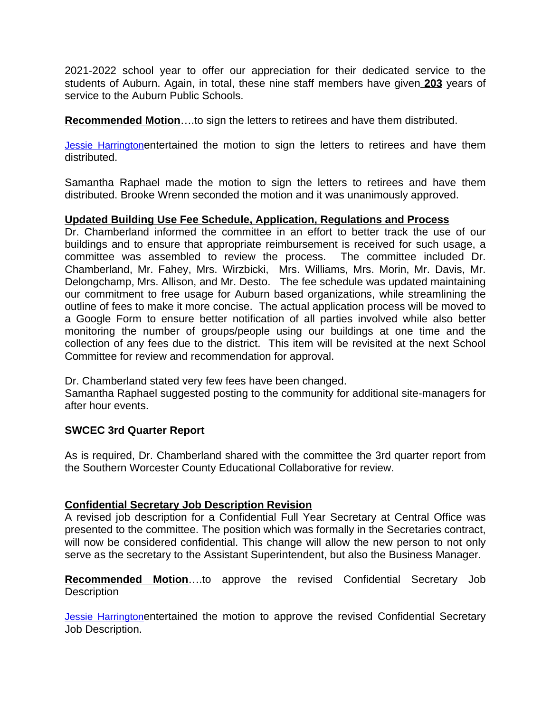2021-2022 school year to offer our appreciation for their dedicated service to the students of Auburn. Again, in total, these nine staff members have given **203** years of service to the Auburn Public Schools.

**Recommended Motion**….to sign the letters to retirees and have them distributed.

[Jessie Harrington](mailto:jharrington4940@hotmail.com)entertained the motion to sign the letters to retirees and have them distributed.

Samantha Raphael made the motion to sign the letters to retirees and have them distributed. Brooke Wrenn seconded the motion and it was unanimously approved.

## **Updated Building Use Fee Schedule, Application, Regulations and Process**

Dr. Chamberland informed the committee in an effort to better track the use of our buildings and to ensure that appropriate reimbursement is received for such usage, a committee was assembled to review the process. The committee included Dr. Chamberland, Mr. Fahey, Mrs. Wirzbicki, Mrs. Williams, Mrs. Morin, Mr. Davis, Mr. Delongchamp, Mrs. Allison, and Mr. Desto. The fee schedule was updated maintaining our commitment to free usage for Auburn based organizations, while streamlining the outline of fees to make it more concise. The actual application process will be moved to a Google Form to ensure better notification of all parties involved while also better monitoring the number of groups/people using our buildings at one time and the collection of any fees due to the district. This item will be revisited at the next School Committee for review and recommendation for approval.

Dr. Chamberland stated very few fees have been changed.

Samantha Raphael suggested posting to the community for additional site-managers for after hour events.

## **SWCEC 3rd Quarter Report**

As is required, Dr. Chamberland shared with the committee the 3rd quarter report from the Southern Worcester County Educational Collaborative for review.

## **Confidential Secretary Job Description Revision**

A revised job description for a Confidential Full Year Secretary at Central Office was presented to the committee. The position which was formally in the Secretaries contract, will now be considered confidential. This change will allow the new person to not only serve as the secretary to the Assistant Superintendent, but also the Business Manager.

**Recommended Motion**….to approve the revised Confidential Secretary Job **Description** 

**[Jessie Harrington](mailto:jharrington4940@hotmail.com)entertained the motion to approve the revised Confidential Secretary** Job Description.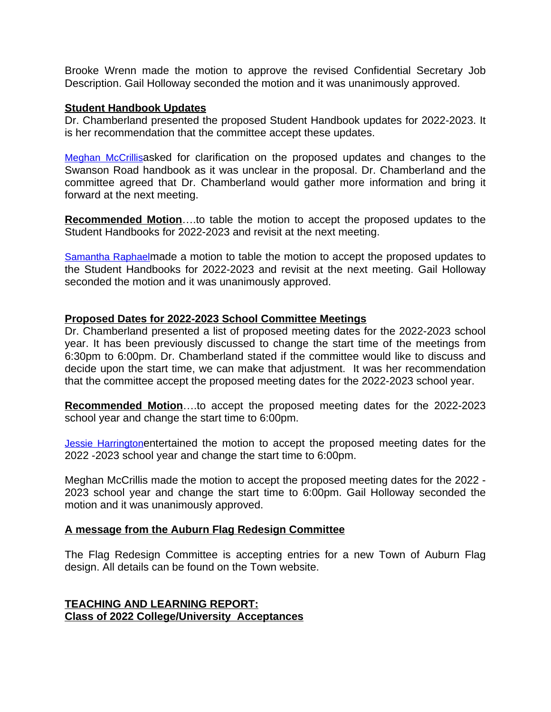Brooke Wrenn made the motion to approve the revised Confidential Secretary Job Description. Gail Holloway seconded the motion and it was unanimously approved.

#### **Student Handbook Updates**

Dr. Chamberland presented the proposed Student Handbook updates for 2022-2023. It is her recommendation that the committee accept these updates.

[Meghan McCrillis](mailto:meghanmccrillis@gmail.com)asked for clarification on the proposed updates and changes to the Swanson Road handbook as it was unclear in the proposal. Dr. Chamberland and the committee agreed that Dr. Chamberland would gather more information and bring it forward at the next meeting.

**Recommended Motion**….to table the motion to accept the proposed updates to the Student Handbooks for 2022-2023 and revisit at the next meeting.

[Samantha Raphael](mailto:samantha.raphael@gmail.com)made a motion to table the motion to accept the proposed updates to the Student Handbooks for 2022-2023 and revisit at the next meeting. Gail Holloway seconded the motion and it was unanimously approved.

### **Proposed Dates for 2022-2023 School Committee Meetings**

Dr. Chamberland presented a list of proposed meeting dates for the 2022-2023 school year. It has been previously discussed to change the start time of the meetings from 6:30pm to 6:00pm. Dr. Chamberland stated if the committee would like to discuss and decide upon the start time, we can make that adjustment. It was her recommendation that the committee accept the proposed meeting dates for the 2022-2023 school year.

**Recommended Motion**….to accept the proposed meeting dates for the 2022-2023 school year and change the start time to 6:00pm.

[Jessie Harrington](mailto:jharrington4940@hotmail.com)entertained the motion to accept the proposed meeting dates for the 2022 -2023 school year and change the start time to 6:00pm.

Meghan McCrillis made the motion to accept the proposed meeting dates for the 2022 - 2023 school year and change the start time to 6:00pm. Gail Holloway seconded the motion and it was unanimously approved.

#### **A message from the Auburn Flag Redesign Committee**

The Flag Redesign Committee is accepting entries for a new Town of Auburn Flag design. All details can be found on the Town website.

**TEACHING AND LEARNING REPORT: Class of 2022 College/University Acceptances**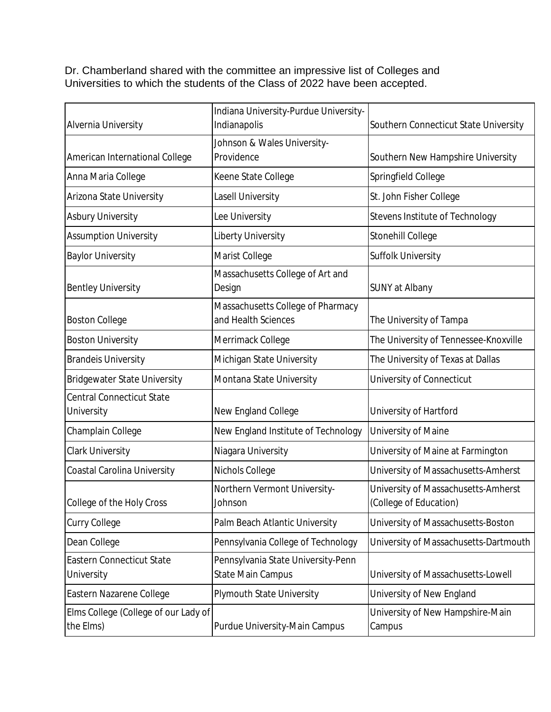Dr. Chamberland shared with the committee an impressive list of Colleges and Universities to which the students of the Class of 2022 have been accepted.

| Alvernia University                               | Indiana University-Purdue University-<br>Indianapolis    | Southern Connecticut State University                         |
|---------------------------------------------------|----------------------------------------------------------|---------------------------------------------------------------|
| American International College                    | Johnson & Wales University-<br>Providence                | Southern New Hampshire University                             |
| Anna Maria College                                | Keene State College                                      | Springfield College                                           |
| Arizona State University                          | Lasell University                                        | St. John Fisher College                                       |
| <b>Asbury University</b>                          | Lee University                                           | Stevens Institute of Technology                               |
| <b>Assumption University</b>                      | Liberty University                                       | Stonehill College                                             |
| <b>Baylor University</b>                          | Marist College                                           | Suffolk University                                            |
| <b>Bentley University</b>                         | Massachusetts College of Art and<br>Design               | SUNY at Albany                                                |
| <b>Boston College</b>                             | Massachusetts College of Pharmacy<br>and Health Sciences | The University of Tampa                                       |
| <b>Boston University</b>                          | Merrimack College                                        | The University of Tennessee-Knoxville                         |
| <b>Brandels University</b>                        | Michigan State University                                | The University of Texas at Dallas                             |
| <b>Bridgewater State University</b>               | Montana State University                                 | University of Connecticut                                     |
| <b>Central Connecticut State</b><br>University    | New England College                                      | University of Hartford                                        |
| Champlain College                                 | New England Institute of Technology                      | University of Maine                                           |
| <b>Clark University</b>                           | Niagara University                                       | University of Maine at Farmington                             |
| Coastal Carolina University                       | Nichols College                                          | University of Massachusetts-Amherst                           |
| College of the Holy Cross                         | Northern Vermont University-<br>Johnson                  | University of Massachusetts-Amherst<br>(College of Education) |
| <b>Curry College</b>                              | Palm Beach Atlantic University                           | University of Massachusetts-Boston                            |
| Dean College                                      | Pennsylvania College of Technology                       | University of Massachusetts-Dartmouth                         |
| Eastern Connecticut State<br>University           | Pennsylvania State University-Penn<br>State Main Campus  | University of Massachusetts-Lowell                            |
| Eastern Nazarene College                          | <b>Plymouth State University</b>                         | University of New England                                     |
| Elms College (College of our Lady of<br>the Elms) | Purdue University-Main Campus                            | University of New Hampshire-Main<br>Campus                    |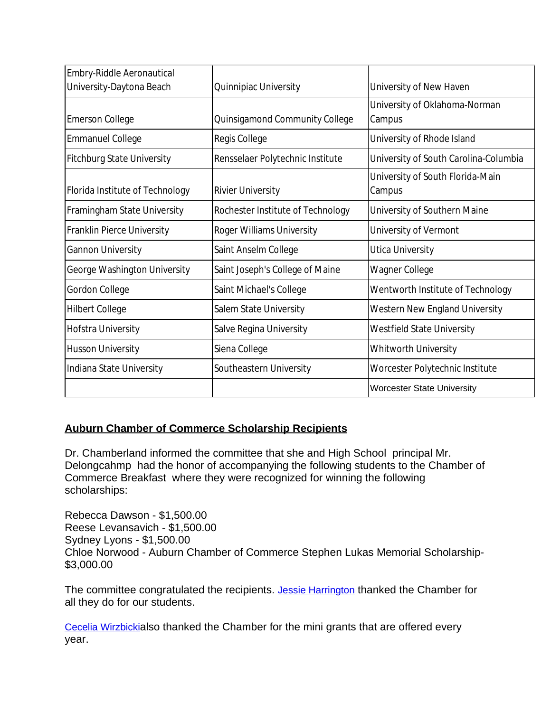| Embry-Riddle Aeronautical         |                                   |                                       |
|-----------------------------------|-----------------------------------|---------------------------------------|
| University-Daytona Beach          | Quinnipiac University             | University of New Haven               |
|                                   |                                   | University of Oklahoma-Norman         |
| <b>Emerson College</b>            | Quinsigamond Community College    | Campus                                |
| <b>Emmanuel College</b>           | Regis College                     | University of Rhode Island            |
| <b>Fitchburg State University</b> | Rensselaer Polytechnic Institute  | University of South Carolina-Columbia |
|                                   |                                   | University of South Florida-Main      |
| Florida Institute of Technology   | <b>Rivier University</b>          | Campus                                |
| Framingham State University       | Rochester Institute of Technology | University of Southern Maine          |
| Franklin Pierce University        | Roger Williams University         | University of Vermont                 |
| <b>Gannon University</b>          | Saint Anselm College              | Utica University                      |
| George Washington University      | Saint Joseph's College of Maine   | Wagner College                        |
| Gordon College                    | Saint Michael's College           | Wentworth Institute of Technology     |
| <b>Hilbert College</b>            | Salem State University            | Western New England University        |
| Hofstra University                | Salve Regina University           | <b>Westfield State University</b>     |
| <b>Husson University</b>          | Siena College                     | Whitworth University                  |
| Indiana State University          | Southeastern University           | Worcester Polytechnic Institute       |
|                                   |                                   | <b>Worcester State University</b>     |

# **Auburn Chamber of Commerce Scholarship Recipients**

Dr. Chamberland informed the committee that she and High School principal Mr. Delongcahmp had the honor of accompanying the following students to the Chamber of Commerce Breakfast where they were recognized for winning the following scholarships:

Rebecca Dawson - \$1,500.00 Reese Levansavich - \$1,500.00 Sydney Lyons - \$1,500.00 Chloe Norwood - Auburn Chamber of Commerce Stephen Lukas Memorial Scholarship- \$3,000.00

The committee congratulated the recipients. [Jessie Harrington](mailto:jharrington4940@hotmail.com) thanked the Chamber for all they do for our students.

[Cecelia Wirzbicki](mailto:cwirzbicki@auburn.k12.ma.us)[also thanked the Chamber for the mini grants that are offered every](mailto:cwirzbicki@auburn.k12.ma.us)  [year.](mailto:cwirzbicki@auburn.k12.ma.us)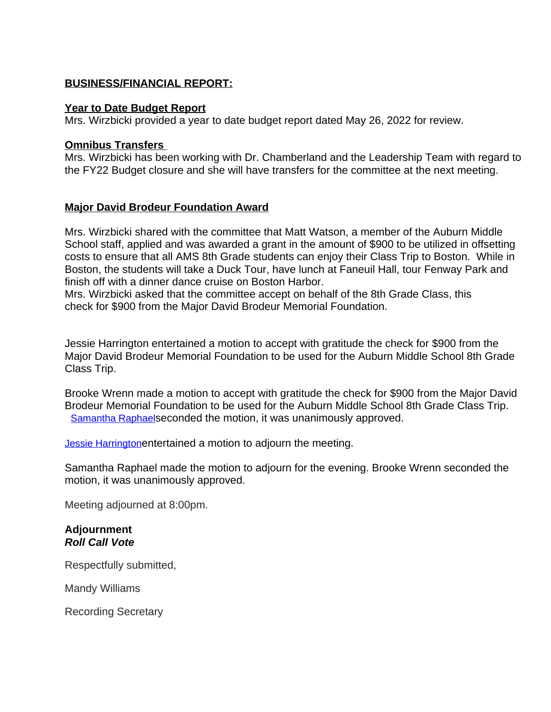## **BUSINESS/FINANCIAL REPORT:**

### **Year to Date Budget Report**

Mrs. Wirzbicki provided a year to date budget report dated May 26, 2022 for review.

## **Omnibus Transfers**

Mrs. Wirzbicki has been working with Dr. Chamberland and the Leadership Team with regard to the FY22 Budget closure and she will have transfers for the committee at the next meeting.

## **Major David Brodeur Foundation Award**

Mrs. Wirzbicki shared with the committee that Matt Watson, a member of the Auburn Middle School staff, applied and was awarded a grant in the amount of \$900 to be utilized in offsetting costs to ensure that all AMS 8th Grade students can enjoy their Class Trip to Boston. While in Boston, the students will take a Duck Tour, have lunch at Faneuil Hall, tour Fenway Park and finish off with a dinner dance cruise on Boston Harbor.

Mrs. Wirzbicki asked that the committee accept on behalf of the 8th Grade Class, this check for \$900 from the Major David Brodeur Memorial Foundation.

Jessie Harrington entertained a motion to accept with gratitude the check for \$900 from the Major David Brodeur Memorial Foundation to be used for the Auburn Middle School 8th Grade Class Trip.

Brooke Wrenn made a motion to accept with gratitude the check for \$900 from the Major David Brodeur Memorial Foundation to be used for the Auburn Middle School 8th Grade Class Trip. [Samantha Raphael](mailto:samantha.raphael@gmail.com)[seconded the motion, it was unanimously approved.](mailto:samantha.raphael@gmail.com)

**[Jessie Harrington](mailto:jharrington4940@hotmail.com)[entertained a motion to adjourn the meeting.](mailto:jharrington4940@hotmail.com)** 

[Samantha Raphael made the motion to adjourn for the evening. Brooke Wrenn seconded the](mailto:jharrington4940@hotmail.com)  [motion, it was unanimously approved.](mailto:jharrington4940@hotmail.com) 

[Meeting adjourned at 8:00pm.](mailto:jharrington4940@hotmail.com)

### **[Adjournment](mailto:jharrington4940@hotmail.com)** *[Roll Call Vote](mailto:jharrington4940@hotmail.com)*

[Respectfully submitted,](mailto:jharrington4940@hotmail.com)

[Mandy Williams](mailto:jharrington4940@hotmail.com)

[Recording Secretary](mailto:jharrington4940@hotmail.com)